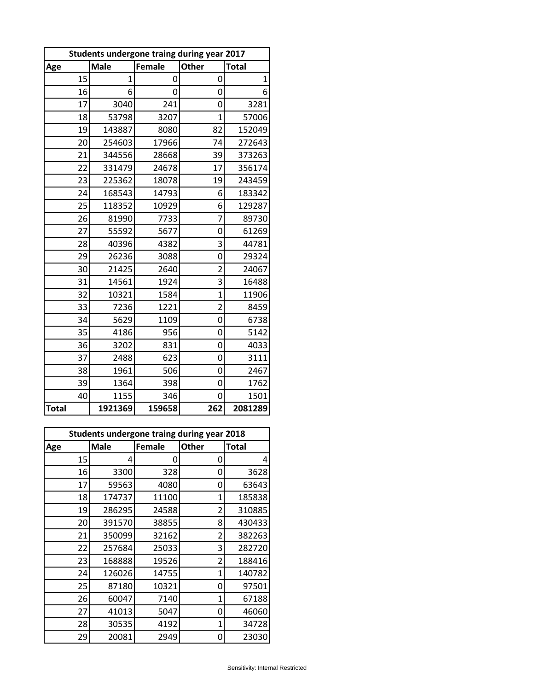| Students undergone traing during year 2017 |             |               |                |              |  |  |
|--------------------------------------------|-------------|---------------|----------------|--------------|--|--|
| Age                                        | <b>Male</b> | <b>Female</b> | Other          | <b>Total</b> |  |  |
| 15                                         | 1           | 0             | 0              | 1            |  |  |
| 16                                         | 6           | 0             | 0              | 6            |  |  |
| 17                                         | 3040        | 241           | 0              | 3281         |  |  |
| 18                                         | 53798       | 3207          | $\overline{1}$ | 57006        |  |  |
| 19                                         | 143887      | 8080          | 82             | 152049       |  |  |
| 20                                         | 254603      | 17966         | 74             | 272643       |  |  |
| 21                                         | 344556      | 28668         | 39             | 373263       |  |  |
| 22                                         | 331479      | 24678         | 17             | 356174       |  |  |
| 23                                         | 225362      | 18078         | 19             | 243459       |  |  |
| 24                                         | 168543      | 14793         | 6              | 183342       |  |  |
| 25                                         | 118352      | 10929         | 6              | 129287       |  |  |
| 26                                         | 81990       | 7733          | 7              | 89730        |  |  |
| 27                                         | 55592       | 5677          | 0              | 61269        |  |  |
| 28                                         | 40396       | 4382          | 3              | 44781        |  |  |
| 29                                         | 26236       | 3088          | 0              | 29324        |  |  |
| 30                                         | 21425       | 2640          | $\overline{2}$ | 24067        |  |  |
| 31                                         | 14561       | 1924          | 3              | 16488        |  |  |
| 32                                         | 10321       | 1584          | $\overline{1}$ | 11906        |  |  |
| 33                                         | 7236        | 1221          | $\overline{2}$ | 8459         |  |  |
| 34                                         | 5629        | 1109          | 0              | 6738         |  |  |
| 35                                         | 4186        | 956           | 0              | 5142         |  |  |
| 36                                         | 3202        | 831           | 0              | 4033         |  |  |
| 37                                         | 2488        | 623           | 0              | 3111         |  |  |
| 38                                         | 1961        | 506           | 0              | 2467         |  |  |
| 39                                         | 1364        | 398           | 0              | 1762         |  |  |
| 40                                         | 1155        | 346           | 0              | 1501         |  |  |
| <b>Total</b>                               | 1921369     | 159658        | 262            | 2081289      |  |  |

| Students undergone traing during year 2018 |        |        |              |              |  |  |
|--------------------------------------------|--------|--------|--------------|--------------|--|--|
| Age                                        | Male   | Female | <b>Other</b> | <b>Total</b> |  |  |
| 15                                         | 4      | 0      | 0            | 4            |  |  |
| 16                                         | 3300   | 328    | 0            | 3628         |  |  |
| 17                                         | 59563  | 4080   | 0            | 63643        |  |  |
| 18                                         | 174737 | 11100  | 1            | 185838       |  |  |
| 19                                         | 286295 | 24588  | 2            | 310885       |  |  |
| 20                                         | 391570 | 38855  | 8            | 430433       |  |  |
| 21                                         | 350099 | 32162  | 2            | 382263       |  |  |
| 22                                         | 257684 | 25033  | 3            | 282720       |  |  |
| 23                                         | 168888 | 19526  | 2            | 188416       |  |  |
| 24                                         | 126026 | 14755  | 1            | 140782       |  |  |
| 25                                         | 87180  | 10321  | 0            | 97501        |  |  |
| 26                                         | 60047  | 7140   | 1            | 67188        |  |  |
| 27                                         | 41013  | 5047   | 0            | 46060        |  |  |
| 28                                         | 30535  | 4192   | 1            | 34728        |  |  |
| 29                                         | 20081  | 2949   | Ω            | 23030        |  |  |